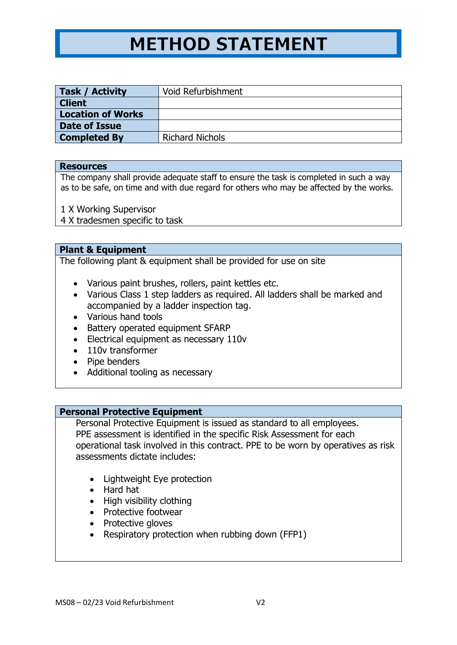# **METHOD STATEMENT**

| Task / Activity          | Void Refurbishment     |
|--------------------------|------------------------|
| <b>Client</b>            |                        |
| <b>Location of Works</b> |                        |
| <b>Date of Issue</b>     |                        |
| <b>Completed By</b>      | <b>Richard Nichols</b> |

### **Resources**

The company shall provide adequate staff to ensure the task is completed in such a way as to be safe, on time and with due regard for others who may be affected by the works.

1 X Working Supervisor

4 X tradesmen specific to task

## **Plant & Equipment**

The following plant & equipment shall be provided for use on site

- Various paint brushes, rollers, paint kettles etc.
- Various Class 1 step ladders as required. All ladders shall be marked and accompanied by a ladder inspection tag.
- Various hand tools
- Battery operated equipment SFARP
- Electrical equipment as necessary 110v
- 110v transformer
- Pipe benders
- Additional tooling as necessary

## **Personal Protective Equipment**

Personal Protective Equipment is issued as standard to all employees. PPE assessment is identified in the specific Risk Assessment for each operational task involved in this contract. PPE to be worn by operatives as risk assessments dictate includes:

- Lightweight Eye protection
- Hard hat
- High visibility clothing
- Protective footwear
- Protective gloves
- Respiratory protection when rubbing down (FFP1)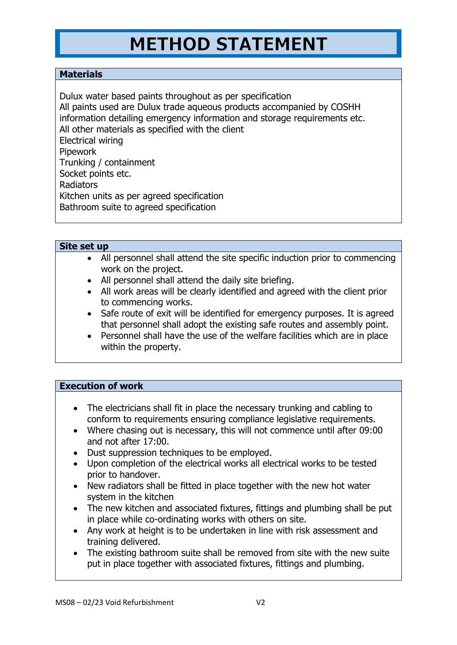## **METHOD STATEMENT**

## **Materials**

Dulux water based paints throughout as per specification All paints used are Dulux trade aqueous products accompanied by COSHH information detailing emergency information and storage requirements etc. All other materials as specified with the client Electrical wiring **Pipework** Trunking / containment Socket points etc. Radiators Kitchen units as per agreed specification Bathroom suite to agreed specification

## **Site set up**

- All personnel shall attend the site specific induction prior to commencing work on the project.
- All personnel shall attend the daily site briefing.
- All work areas will be clearly identified and agreed with the client prior to commencing works.
- Safe route of exit will be identified for emergency purposes. It is agreed that personnel shall adopt the existing safe routes and assembly point.
- Personnel shall have the use of the welfare facilities which are in place within the property.

## **Execution of work**

- The electricians shall fit in place the necessary trunking and cabling to conform to requirements ensuring compliance legislative requirements.
- Where chasing out is necessary, this will not commence until after 09:00 and not after 17:00.
- Dust suppression techniques to be employed.
- Upon completion of the electrical works all electrical works to be tested prior to handover.
- New radiators shall be fitted in place together with the new hot water system in the kitchen
- The new kitchen and associated fixtures, fittings and plumbing shall be put in place while co-ordinating works with others on site.
- Any work at height is to be undertaken in line with risk assessment and training delivered.
- The existing bathroom suite shall be removed from site with the new suite put in place together with associated fixtures, fittings and plumbing.